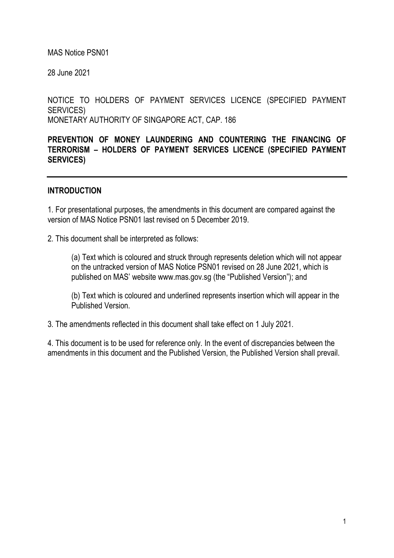MAS Notice PSN01

28 June 2021

NOTICE TO HOLDERS OF PAYMENT SERVICES LICENCE (SPECIFIED PAYMENT SERVICES) MONETARY AUTHORITY OF SINGAPORE ACT, CAP. 186

PREVENTION OF MONEY LAUNDERING AND COUNTERING THE FINANCING OF TERRORISM – HOLDERS OF PAYMENT SERVICES LICENCE (SPECIFIED PAYMENT SERVICES)

#### INTRODUCTION

1. For presentational purposes, the amendments in this document are compared against the version of MAS Notice PSN01 last revised on 5 December 2019.

2. This document shall be interpreted as follows:

(a) Text which is coloured and struck through represents deletion which will not appear on the untracked version of MAS Notice PSN01 revised on 28 June 2021, which is published on MAS' website www.mas.gov.sg (the "Published Version"); and

(b) Text which is coloured and underlined represents insertion which will appear in the Published Version.

3. The amendments reflected in this document shall take effect on 1 July 2021.

4. This document is to be used for reference only. In the event of discrepancies between the amendments in this document and the Published Version, the Published Version shall prevail.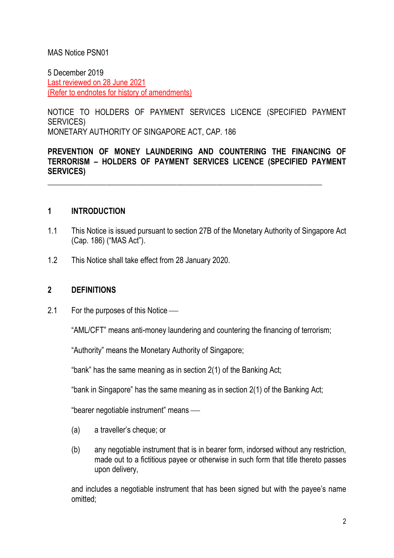### MAS Notice PSN01

5 December 2019 Last reviewed on 28 June 2021 (Refer to endnotes for history of amendments)

NOTICE TO HOLDERS OF PAYMENT SERVICES LICENCE (SPECIFIED PAYMENT SERVICES) MONETARY AUTHORITY OF SINGAPORE ACT, CAP. 186

### PREVENTION OF MONEY LAUNDERING AND COUNTERING THE FINANCING OF TERRORISM – HOLDERS OF PAYMENT SERVICES LICENCE (SPECIFIED PAYMENT SERVICES)

\_\_\_\_\_\_\_\_\_\_\_\_\_\_\_\_\_\_\_\_\_\_\_\_\_\_\_\_\_\_\_\_\_\_\_\_\_\_\_\_\_\_\_\_\_\_\_\_\_\_\_\_\_\_\_\_\_\_\_\_\_\_\_\_\_\_\_\_\_\_

#### 1 INTRODUCTION

- 1.1 This Notice is issued pursuant to section 27B of the Monetary Authority of Singapore Act (Cap. 186) ("MAS Act").
- 1.2 This Notice shall take effect from 28 January 2020.

#### 2 DEFINITIONS

2.1 For the purposes of this Notice —

"AML/CFT" means anti-money laundering and countering the financing of terrorism;

"Authority" means the Monetary Authority of Singapore;

"bank" has the same meaning as in section 2(1) of the Banking Act;

"bank in Singapore" has the same meaning as in section 2(1) of the Banking Act;

"bearer negotiable instrument" means

- (a) a traveller's cheque; or
- (b) any negotiable instrument that is in bearer form, indorsed without any restriction, made out to a fictitious payee or otherwise in such form that title thereto passes upon delivery,

and includes a negotiable instrument that has been signed but with the payee's name omitted;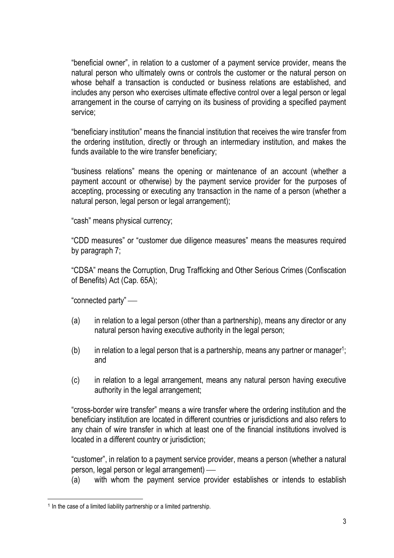"beneficial owner", in relation to a customer of a payment service provider, means the natural person who ultimately owns or controls the customer or the natural person on whose behalf a transaction is conducted or business relations are established, and includes any person who exercises ultimate effective control over a legal person or legal arrangement in the course of carrying on its business of providing a specified payment service;

"beneficiary institution" means the financial institution that receives the wire transfer from the ordering institution, directly or through an intermediary institution, and makes the funds available to the wire transfer beneficiary;

"business relations" means the opening or maintenance of an account (whether a payment account or otherwise) by the payment service provider for the purposes of accepting, processing or executing any transaction in the name of a person (whether a natural person, legal person or legal arrangement);

"cash" means physical currency;

"CDD measures" or "customer due diligence measures" means the measures required by paragraph 7;

"CDSA" means the Corruption, Drug Trafficking and Other Serious Crimes (Confiscation of Benefits) Act (Cap. 65A);

"connected party"

- (a) in relation to a legal person (other than a partnership), means any director or any natural person having executive authority in the legal person;
- $(b)$  in relation to a legal person that is a partnership, means any partner or manager<sup>1</sup>; and
- (c) in relation to a legal arrangement, means any natural person having executive authority in the legal arrangement;

"cross-border wire transfer" means a wire transfer where the ordering institution and the beneficiary institution are located in different countries or jurisdictions and also refers to any chain of wire transfer in which at least one of the financial institutions involved is located in a different country or jurisdiction;

"customer", in relation to a payment service provider, means a person (whether a natural person, legal person or legal arrangement)

(a) with whom the payment service provider establishes or intends to establish

<sup>&</sup>lt;sup>1</sup> In the case of a limited liability partnership or a limited partnership.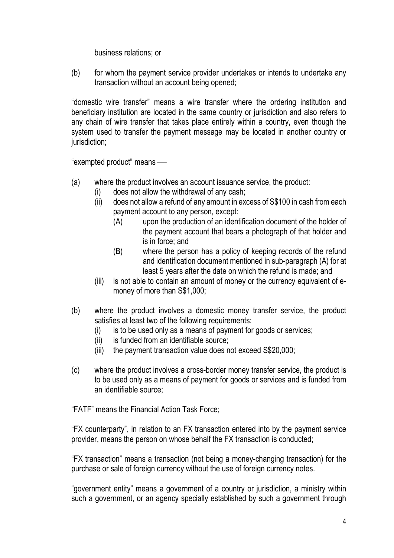business relations; or

(b) for whom the payment service provider undertakes or intends to undertake any transaction without an account being opened;

"domestic wire transfer" means a wire transfer where the ordering institution and beneficiary institution are located in the same country or jurisdiction and also refers to any chain of wire transfer that takes place entirely within a country, even though the system used to transfer the payment message may be located in another country or jurisdiction:

"exempted product" means

- (a) where the product involves an account issuance service, the product:
	- (i) does not allow the withdrawal of any cash;
		- (ii) does not allow a refund of any amount in excess of S\$100 in cash from each payment account to any person, except:
			- (A) upon the production of an identification document of the holder of the payment account that bears a photograph of that holder and is in force; and
			- (B) where the person has a policy of keeping records of the refund and identification document mentioned in sub-paragraph (A) for at least 5 years after the date on which the refund is made; and
		- (iii) is not able to contain an amount of money or the currency equivalent of emoney of more than S\$1,000;
- (b) where the product involves a domestic money transfer service, the product satisfies at least two of the following requirements:
	- (i) is to be used only as a means of payment for goods or services;
	- (ii) is funded from an identifiable source;
	- (iii) the payment transaction value does not exceed S\$20,000;
- (c) where the product involves a cross-border money transfer service, the product is to be used only as a means of payment for goods or services and is funded from an identifiable source;

"FATF" means the Financial Action Task Force;

"FX counterparty", in relation to an FX transaction entered into by the payment service provider, means the person on whose behalf the FX transaction is conducted;

"FX transaction" means a transaction (not being a money-changing transaction) for the purchase or sale of foreign currency without the use of foreign currency notes.

"government entity" means a government of a country or jurisdiction, a ministry within such a government, or an agency specially established by such a government through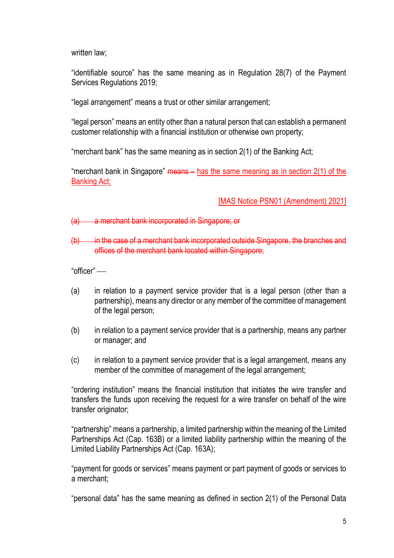written law;

"identifiable source" has the same meaning as in Regulation 28(7) of the Payment Services Regulations 2019;

"legal arrangement" means a trust or other similar arrangement;

"legal person" means an entity other than a natural person that can establish a permanent customer relationship with a financial institution or otherwise own property;

"merchant bank" has the same meaning as in section 2(1) of the Banking Act;

"merchant bank in Singapore"  $means -$  has the same meaning as in section  $2(1)$  of the Banking Act;

[MAS Notice PSN01 (Amendment) 2021]

(a) a merchant bank incorporated in Singapore; or

(b) in the case of a merchant bank incorporated outside Singapore, the branches and offices of the merchant bank located within Singapore;

"officer"

- (a) in relation to a payment service provider that is a legal person (other than a partnership), means any director or any member of the committee of management of the legal person;
- (b) in relation to a payment service provider that is a partnership, means any partner or manager; and
- (c) in relation to a payment service provider that is a legal arrangement, means any member of the committee of management of the legal arrangement;

"ordering institution" means the financial institution that initiates the wire transfer and transfers the funds upon receiving the request for a wire transfer on behalf of the wire transfer originator;

"partnership" means a partnership, a limited partnership within the meaning of the Limited Partnerships Act (Cap. 163B) or a limited liability partnership within the meaning of the Limited Liability Partnerships Act (Cap. 163A);

"payment for goods or services" means payment or part payment of goods or services to a merchant;

"personal data" has the same meaning as defined in section 2(1) of the Personal Data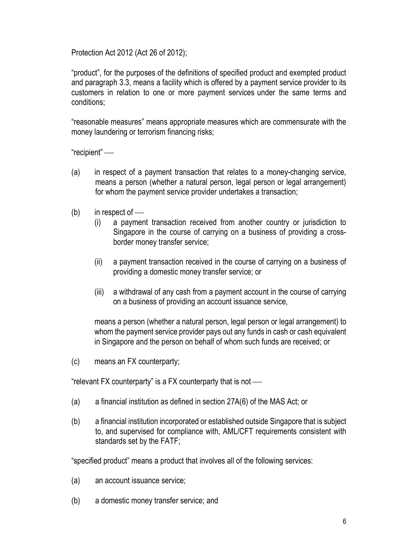Protection Act 2012 (Act 26 of 2012);

"product", for the purposes of the definitions of specified product and exempted product and paragraph 3.3, means a facility which is offered by a payment service provider to its customers in relation to one or more payment services under the same terms and conditions;

"reasonable measures" means appropriate measures which are commensurate with the money laundering or terrorism financing risks;

"recipient"

- (a) in respect of a payment transaction that relates to a money-changing service, means a person (whether a natural person, legal person or legal arrangement) for whom the payment service provider undertakes a transaction;
- $(b)$  in respect of
	- (i) a payment transaction received from another country or jurisdiction to Singapore in the course of carrying on a business of providing a crossborder money transfer service;
	- (ii) a payment transaction received in the course of carrying on a business of providing a domestic money transfer service; or
	- (iii) a withdrawal of any cash from a payment account in the course of carrying on a business of providing an account issuance service,

means a person (whether a natural person, legal person or legal arrangement) to whom the payment service provider pays out any funds in cash or cash equivalent in Singapore and the person on behalf of whom such funds are received; or

(c) means an FX counterparty;

"relevant FX counterparty" is a FX counterparty that is not

- (a) a financial institution as defined in section 27A(6) of the MAS Act; or
- (b) a financial institution incorporated or established outside Singapore that is subject to, and supervised for compliance with, AML/CFT requirements consistent with standards set by the FATF;

"specified product" means a product that involves all of the following services:

- (a) an account issuance service;
- (b) a domestic money transfer service; and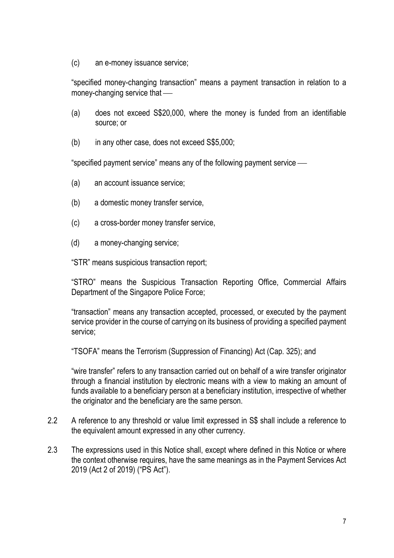(c) an e-money issuance service;

"specified money-changing transaction" means a payment transaction in relation to a money-changing service that

- (a) does not exceed S\$20,000, where the money is funded from an identifiable source; or
- (b) in any other case, does not exceed S\$5,000;

"specified payment service" means any of the following payment service

- (a) an account issuance service;
- (b) a domestic money transfer service,
- (c) a cross-border money transfer service,
- (d) a money-changing service;

"STR" means suspicious transaction report;

"STRO" means the Suspicious Transaction Reporting Office, Commercial Affairs Department of the Singapore Police Force;

"transaction" means any transaction accepted, processed, or executed by the payment service provider in the course of carrying on its business of providing a specified payment service;

"TSOFA" means the Terrorism (Suppression of Financing) Act (Cap. 325); and

"wire transfer" refers to any transaction carried out on behalf of a wire transfer originator through a financial institution by electronic means with a view to making an amount of funds available to a beneficiary person at a beneficiary institution, irrespective of whether the originator and the beneficiary are the same person.

- 2.2 A reference to any threshold or value limit expressed in S\$ shall include a reference to the equivalent amount expressed in any other currency.
- 2.3 The expressions used in this Notice shall, except where defined in this Notice or where the context otherwise requires, have the same meanings as in the Payment Services Act 2019 (Act 2 of 2019) ("PS Act").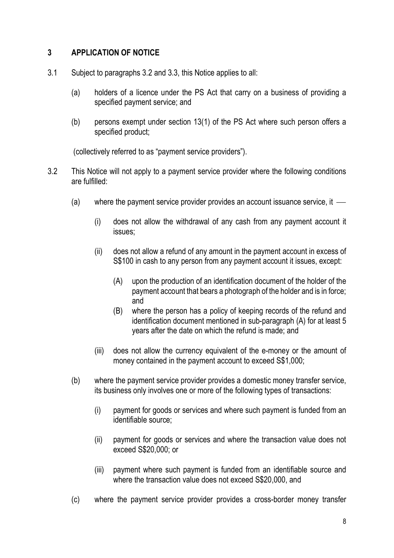### 3 APPLICATION OF NOTICE

- 3.1 Subject to paragraphs 3.2 and 3.3, this Notice applies to all:
	- (a) holders of a licence under the PS Act that carry on a business of providing a specified payment service; and
	- (b) persons exempt under section 13(1) of the PS Act where such person offers a specified product;

(collectively referred to as "payment service providers").

- 3.2 This Notice will not apply to a payment service provider where the following conditions are fulfilled:
	- (a) where the payment service provider provides an account issuance service, it
		- (i) does not allow the withdrawal of any cash from any payment account it issues;
		- (ii) does not allow a refund of any amount in the payment account in excess of S\$100 in cash to any person from any payment account it issues, except:
			- (A) upon the production of an identification document of the holder of the payment account that bears a photograph of the holder and is in force; and
			- (B) where the person has a policy of keeping records of the refund and identification document mentioned in sub-paragraph (A) for at least 5 years after the date on which the refund is made; and
		- (iii) does not allow the currency equivalent of the e-money or the amount of money contained in the payment account to exceed S\$1,000;
	- (b) where the payment service provider provides a domestic money transfer service, its business only involves one or more of the following types of transactions:
		- (i) payment for goods or services and where such payment is funded from an identifiable source;
		- (ii) payment for goods or services and where the transaction value does not exceed S\$20,000; or
		- (iii) payment where such payment is funded from an identifiable source and where the transaction value does not exceed S\$20,000, and
	- (c) where the payment service provider provides a cross-border money transfer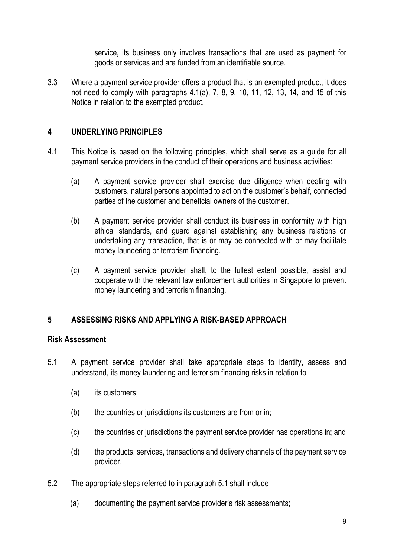service, its business only involves transactions that are used as payment for goods or services and are funded from an identifiable source.

3.3 Where a payment service provider offers a product that is an exempted product, it does not need to comply with paragraphs 4.1(a), 7, 8, 9, 10, 11, 12, 13, 14, and 15 of this Notice in relation to the exempted product.

### 4 UNDERLYING PRINCIPLES

- 4.1 This Notice is based on the following principles, which shall serve as a guide for all payment service providers in the conduct of their operations and business activities:
	- (a) A payment service provider shall exercise due diligence when dealing with customers, natural persons appointed to act on the customer's behalf, connected parties of the customer and beneficial owners of the customer.
	- (b) A payment service provider shall conduct its business in conformity with high ethical standards, and guard against establishing any business relations or undertaking any transaction, that is or may be connected with or may facilitate money laundering or terrorism financing.
	- (c) A payment service provider shall, to the fullest extent possible, assist and cooperate with the relevant law enforcement authorities in Singapore to prevent money laundering and terrorism financing.

# 5 ASSESSING RISKS AND APPLYING A RISK-BASED APPROACH

#### Risk Assessment

- 5.1 A payment service provider shall take appropriate steps to identify, assess and understand, its money laundering and terrorism financing risks in relation to
	- (a) its customers;
	- (b) the countries or jurisdictions its customers are from or in;
	- (c) the countries or jurisdictions the payment service provider has operations in; and
	- (d) the products, services, transactions and delivery channels of the payment service provider.
- 5.2 The appropriate steps referred to in paragraph 5.1 shall include
	- (a) documenting the payment service provider's risk assessments;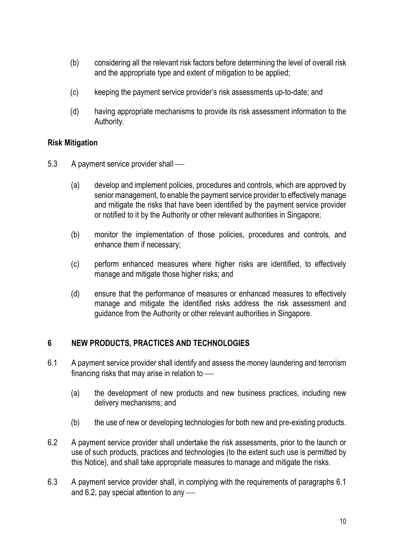- (b) considering all the relevant risk factors before determining the level of overall risk and the appropriate type and extent of mitigation to be applied;
- (c) keeping the payment service provider's risk assessments up-to-date; and
- (d) having appropriate mechanisms to provide its risk assessment information to the Authority.

### Risk Mitigation

- 5.3 A payment service provider shall
	- (a) develop and implement policies, procedures and controls, which are approved by senior management, to enable the payment service provider to effectively manage and mitigate the risks that have been identified by the payment service provider or notified to it by the Authority or other relevant authorities in Singapore;
	- (b) monitor the implementation of those policies, procedures and controls, and enhance them if necessary;
	- (c) perform enhanced measures where higher risks are identified, to effectively manage and mitigate those higher risks; and
	- (d) ensure that the performance of measures or enhanced measures to effectively manage and mitigate the identified risks address the risk assessment and guidance from the Authority or other relevant authorities in Singapore.

# 6 NEW PRODUCTS, PRACTICES AND TECHNOLOGIES

- 6.1 A payment service provider shall identify and assess the money laundering and terrorism financing risks that may arise in relation to
	- (a) the development of new products and new business practices, including new delivery mechanisms; and
	- (b) the use of new or developing technologies for both new and pre-existing products.
- 6.2 A payment service provider shall undertake the risk assessments, prior to the launch or use of such products, practices and technologies (to the extent such use is permitted by this Notice), and shall take appropriate measures to manage and mitigate the risks.
- 6.3 A payment service provider shall, in complying with the requirements of paragraphs 6.1 and 6.2, pay special attention to any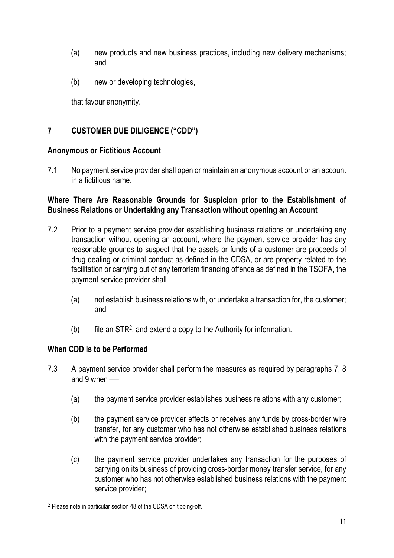- (a) new products and new business practices, including new delivery mechanisms; and
- (b) new or developing technologies,

that favour anonymity.

# 7 CUSTOMER DUE DILIGENCE ("CDD")

#### Anonymous or Fictitious Account

7.1 No payment service provider shall open or maintain an anonymous account or an account in a fictitious name.

### Where There Are Reasonable Grounds for Suspicion prior to the Establishment of Business Relations or Undertaking any Transaction without opening an Account

- 7.2 Prior to a payment service provider establishing business relations or undertaking any transaction without opening an account, where the payment service provider has any reasonable grounds to suspect that the assets or funds of a customer are proceeds of drug dealing or criminal conduct as defined in the CDSA, or are property related to the facilitation or carrying out of any terrorism financing offence as defined in the TSOFA, the payment service provider shall
	- (a) not establish business relations with, or undertake a transaction for, the customer; and
	- (b) file an STR<sup>2</sup> , and extend a copy to the Authority for information.

# When CDD is to be Performed

- 7.3 A payment service provider shall perform the measures as required by paragraphs 7, 8 and 9 when —
	- (a) the payment service provider establishes business relations with any customer;
	- (b) the payment service provider effects or receives any funds by cross-border wire transfer, for any customer who has not otherwise established business relations with the payment service provider:
	- (c) the payment service provider undertakes any transaction for the purposes of carrying on its business of providing cross-border money transfer service, for any customer who has not otherwise established business relations with the payment service provider;

<sup>2</sup> Please note in particular section 48 of the CDSA on tipping-off.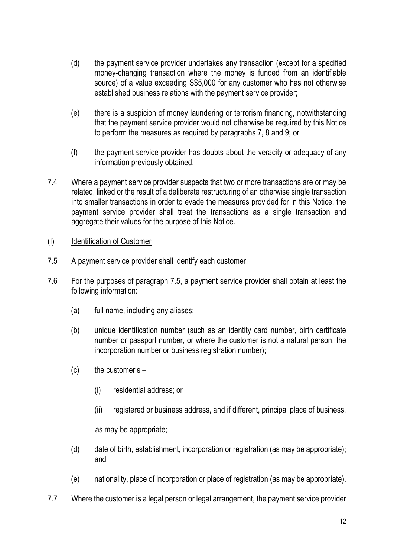- (d) the payment service provider undertakes any transaction (except for a specified money-changing transaction where the money is funded from an identifiable source) of a value exceeding S\$5,000 for any customer who has not otherwise established business relations with the payment service provider;
- (e) there is a suspicion of money laundering or terrorism financing, notwithstanding that the payment service provider would not otherwise be required by this Notice to perform the measures as required by paragraphs 7, 8 and 9; or
- (f) the payment service provider has doubts about the veracity or adequacy of any information previously obtained.
- 7.4 Where a payment service provider suspects that two or more transactions are or may be related, linked or the result of a deliberate restructuring of an otherwise single transaction into smaller transactions in order to evade the measures provided for in this Notice, the payment service provider shall treat the transactions as a single transaction and aggregate their values for the purpose of this Notice.

### (I) Identification of Customer

- 7.5 A payment service provider shall identify each customer.
- 7.6 For the purposes of paragraph 7.5, a payment service provider shall obtain at least the following information:
	- (a) full name, including any aliases;
	- (b) unique identification number (such as an identity card number, birth certificate number or passport number, or where the customer is not a natural person, the incorporation number or business registration number);
	- (c) the customer's
		- (i) residential address; or
		- (ii) registered or business address, and if different, principal place of business,

as may be appropriate;

- (d) date of birth, establishment, incorporation or registration (as may be appropriate); and
- (e) nationality, place of incorporation or place of registration (as may be appropriate).
- 7.7 Where the customer is a legal person or legal arrangement, the payment service provider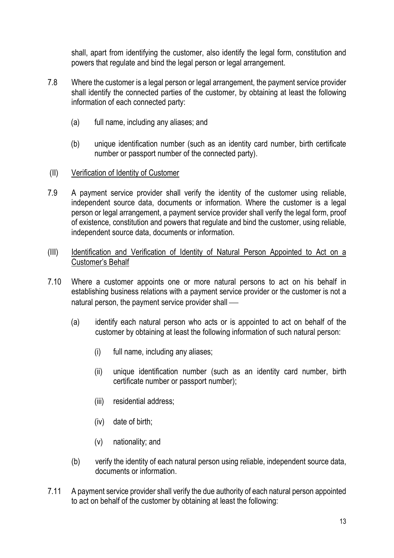shall, apart from identifying the customer, also identify the legal form, constitution and powers that regulate and bind the legal person or legal arrangement.

- 7.8 Where the customer is a legal person or legal arrangement, the payment service provider shall identify the connected parties of the customer, by obtaining at least the following information of each connected party:
	- (a) full name, including any aliases; and
	- (b) unique identification number (such as an identity card number, birth certificate number or passport number of the connected party).
- (II) Verification of Identity of Customer
- 7.9 A payment service provider shall verify the identity of the customer using reliable, independent source data, documents or information. Where the customer is a legal person or legal arrangement, a payment service provider shall verify the legal form, proof of existence, constitution and powers that regulate and bind the customer, using reliable, independent source data, documents or information.
- (III) Identification and Verification of Identity of Natural Person Appointed to Act on a Customer's Behalf
- 7.10 Where a customer appoints one or more natural persons to act on his behalf in establishing business relations with a payment service provider or the customer is not a natural person, the payment service provider shall
	- (a) identify each natural person who acts or is appointed to act on behalf of the customer by obtaining at least the following information of such natural person:
		- (i) full name, including any aliases;
		- (ii) unique identification number (such as an identity card number, birth certificate number or passport number);
		- (iii) residential address;
		- (iv) date of birth;
		- (v) nationality; and
	- (b) verify the identity of each natural person using reliable, independent source data, documents or information.
- 7.11 A payment service provider shall verify the due authority of each natural person appointed to act on behalf of the customer by obtaining at least the following: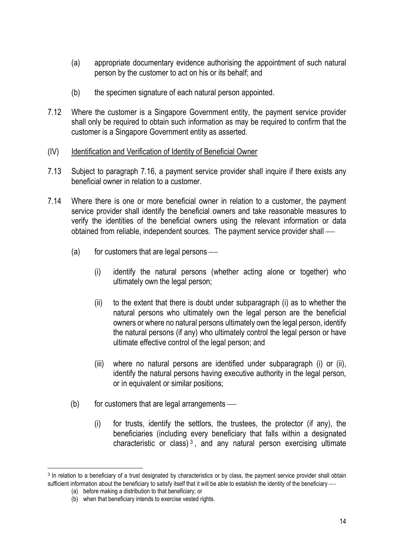- (a) appropriate documentary evidence authorising the appointment of such natural person by the customer to act on his or its behalf; and
- (b) the specimen signature of each natural person appointed.
- 7.12 Where the customer is a Singapore Government entity, the payment service provider shall only be required to obtain such information as may be required to confirm that the customer is a Singapore Government entity as asserted.
- (IV) Identification and Verification of Identity of Beneficial Owner
- 7.13 Subject to paragraph 7.16, a payment service provider shall inquire if there exists any beneficial owner in relation to a customer.
- 7.14 Where there is one or more beneficial owner in relation to a customer, the payment service provider shall identify the beneficial owners and take reasonable measures to verify the identities of the beneficial owners using the relevant information or data obtained from reliable, independent sources. The payment service provider shall
	- $(a)$  for customers that are legal persons
		- (i) identify the natural persons (whether acting alone or together) who ultimately own the legal person;
		- (ii) to the extent that there is doubt under subparagraph (i) as to whether the natural persons who ultimately own the legal person are the beneficial owners or where no natural persons ultimately own the legal person, identify the natural persons (if any) who ultimately control the legal person or have ultimate effective control of the legal person; and
		- (iii) where no natural persons are identified under subparagraph (i) or (ii), identify the natural persons having executive authority in the legal person, or in equivalent or similar positions;
	- $(b)$  for customers that are legal arrangements
		- (i) for trusts, identify the settlors, the trustees, the protector (if any), the beneficiaries (including every beneficiary that falls within a designated characteristic or class)<sup>3</sup>, and any natural person exercising ultimate

<sup>&</sup>lt;sup>3</sup> In relation to a beneficiary of a trust designated by characteristics or by class, the payment service provider shall obtain sufficient information about the beneficiary to satisfy itself that it will be able to establish the identity of the beneficiary -

<sup>(</sup>a) before making a distribution to that beneficiary; or

<sup>(</sup>b) when that beneficiary intends to exercise vested rights.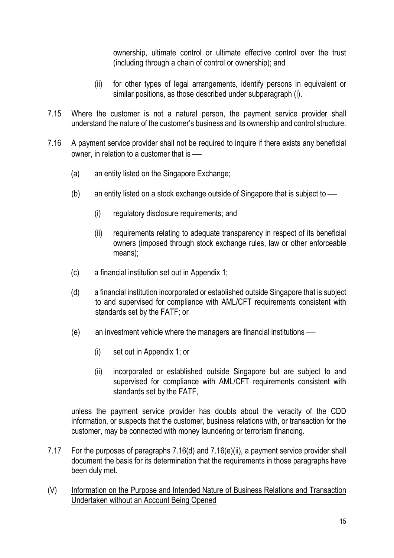ownership, ultimate control or ultimate effective control over the trust (including through a chain of control or ownership); and

- (ii) for other types of legal arrangements, identify persons in equivalent or similar positions, as those described under subparagraph (i).
- 7.15 Where the customer is not a natural person, the payment service provider shall understand the nature of the customer's business and its ownership and control structure.
- 7.16 A payment service provider shall not be required to inquire if there exists any beneficial owner, in relation to a customer that is
	- (a) an entity listed on the Singapore Exchange;
	- (b) an entity listed on a stock exchange outside of Singapore that is subject to
		- (i) regulatory disclosure requirements; and
		- (ii) requirements relating to adequate transparency in respect of its beneficial owners (imposed through stock exchange rules, law or other enforceable means);
	- (c) a financial institution set out in Appendix 1;
	- (d) a financial institution incorporated or established outside Singapore that is subject to and supervised for compliance with AML/CFT requirements consistent with standards set by the FATF; or
	- (e) an investment vehicle where the managers are financial institutions
		- (i) set out in Appendix 1; or
		- (ii) incorporated or established outside Singapore but are subject to and supervised for compliance with AML/CFT requirements consistent with standards set by the FATF,

unless the payment service provider has doubts about the veracity of the CDD information, or suspects that the customer, business relations with, or transaction for the customer, may be connected with money laundering or terrorism financing.

- 7.17 For the purposes of paragraphs 7.16(d) and 7.16(e)(ii), a payment service provider shall document the basis for its determination that the requirements in those paragraphs have been duly met.
- (V) Information on the Purpose and Intended Nature of Business Relations and Transaction Undertaken without an Account Being Opened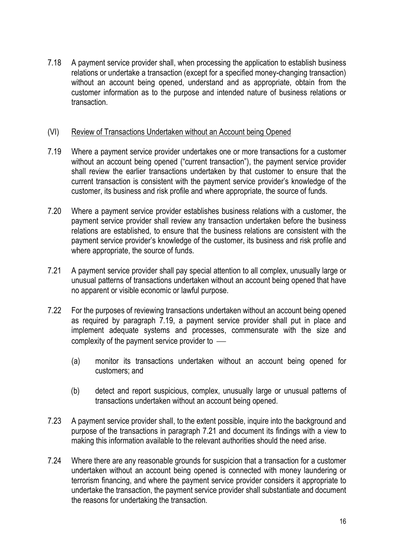7.18 A payment service provider shall, when processing the application to establish business relations or undertake a transaction (except for a specified money-changing transaction) without an account being opened, understand and as appropriate, obtain from the customer information as to the purpose and intended nature of business relations or transaction.

### (VI) Review of Transactions Undertaken without an Account being Opened

- 7.19 Where a payment service provider undertakes one or more transactions for a customer without an account being opened ("current transaction"), the payment service provider shall review the earlier transactions undertaken by that customer to ensure that the current transaction is consistent with the payment service provider's knowledge of the customer, its business and risk profile and where appropriate, the source of funds.
- 7.20 Where a payment service provider establishes business relations with a customer, the payment service provider shall review any transaction undertaken before the business relations are established, to ensure that the business relations are consistent with the payment service provider's knowledge of the customer, its business and risk profile and where appropriate, the source of funds.
- 7.21 A payment service provider shall pay special attention to all complex, unusually large or unusual patterns of transactions undertaken without an account being opened that have no apparent or visible economic or lawful purpose.
- 7.22 For the purposes of reviewing transactions undertaken without an account being opened as required by paragraph 7.19, a payment service provider shall put in place and implement adequate systems and processes, commensurate with the size and complexity of the payment service provider to
	- (a) monitor its transactions undertaken without an account being opened for customers; and
	- (b) detect and report suspicious, complex, unusually large or unusual patterns of transactions undertaken without an account being opened.
- 7.23 A payment service provider shall, to the extent possible, inquire into the background and purpose of the transactions in paragraph 7.21 and document its findings with a view to making this information available to the relevant authorities should the need arise.
- 7.24 Where there are any reasonable grounds for suspicion that a transaction for a customer undertaken without an account being opened is connected with money laundering or terrorism financing, and where the payment service provider considers it appropriate to undertake the transaction, the payment service provider shall substantiate and document the reasons for undertaking the transaction.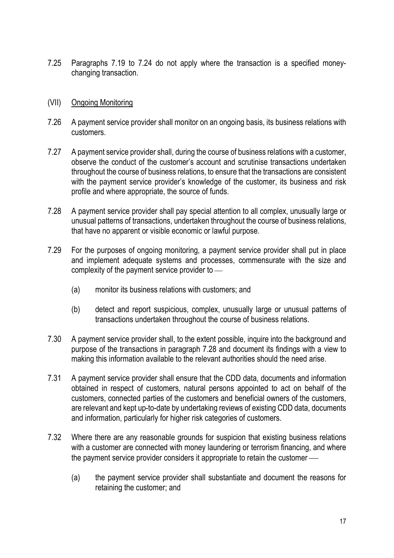7.25 Paragraphs 7.19 to 7.24 do not apply where the transaction is a specified moneychanging transaction.

#### (VII) Ongoing Monitoring

- 7.26 A payment service provider shall monitor on an ongoing basis, its business relations with customers.
- 7.27 A payment service provider shall, during the course of business relations with a customer, observe the conduct of the customer's account and scrutinise transactions undertaken throughout the course of business relations, to ensure that the transactions are consistent with the payment service provider's knowledge of the customer, its business and risk profile and where appropriate, the source of funds.
- 7.28 A payment service provider shall pay special attention to all complex, unusually large or unusual patterns of transactions, undertaken throughout the course of business relations, that have no apparent or visible economic or lawful purpose.
- 7.29 For the purposes of ongoing monitoring, a payment service provider shall put in place and implement adequate systems and processes, commensurate with the size and complexity of the payment service provider to
	- (a) monitor its business relations with customers; and
	- (b) detect and report suspicious, complex, unusually large or unusual patterns of transactions undertaken throughout the course of business relations.
- 7.30 A payment service provider shall, to the extent possible, inquire into the background and purpose of the transactions in paragraph 7.28 and document its findings with a view to making this information available to the relevant authorities should the need arise.
- 7.31 A payment service provider shall ensure that the CDD data, documents and information obtained in respect of customers, natural persons appointed to act on behalf of the customers, connected parties of the customers and beneficial owners of the customers, are relevant and kept up-to-date by undertaking reviews of existing CDD data, documents and information, particularly for higher risk categories of customers.
- 7.32 Where there are any reasonable grounds for suspicion that existing business relations with a customer are connected with money laundering or terrorism financing, and where the payment service provider considers it appropriate to retain the customer
	- (a) the payment service provider shall substantiate and document the reasons for retaining the customer; and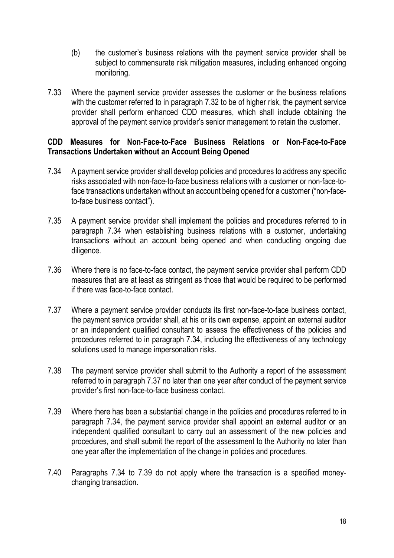- (b) the customer's business relations with the payment service provider shall be subject to commensurate risk mitigation measures, including enhanced ongoing monitoring.
- 7.33 Where the payment service provider assesses the customer or the business relations with the customer referred to in paragraph 7.32 to be of higher risk, the payment service provider shall perform enhanced CDD measures, which shall include obtaining the approval of the payment service provider's senior management to retain the customer.

### CDD Measures for Non-Face-to-Face Business Relations or Non-Face-to-Face Transactions Undertaken without an Account Being Opened

- 7.34 A payment service provider shall develop policies and procedures to address any specific risks associated with non-face-to-face business relations with a customer or non-face-toface transactions undertaken without an account being opened for a customer ("non-faceto-face business contact").
- 7.35 A payment service provider shall implement the policies and procedures referred to in paragraph 7.34 when establishing business relations with a customer, undertaking transactions without an account being opened and when conducting ongoing due diligence.
- 7.36 Where there is no face-to-face contact, the payment service provider shall perform CDD measures that are at least as stringent as those that would be required to be performed if there was face-to-face contact.
- 7.37 Where a payment service provider conducts its first non-face-to-face business contact, the payment service provider shall, at his or its own expense, appoint an external auditor or an independent qualified consultant to assess the effectiveness of the policies and procedures referred to in paragraph 7.34, including the effectiveness of any technology solutions used to manage impersonation risks.
- 7.38 The payment service provider shall submit to the Authority a report of the assessment referred to in paragraph 7.37 no later than one year after conduct of the payment service provider's first non-face-to-face business contact.
- 7.39 Where there has been a substantial change in the policies and procedures referred to in paragraph 7.34, the payment service provider shall appoint an external auditor or an independent qualified consultant to carry out an assessment of the new policies and procedures, and shall submit the report of the assessment to the Authority no later than one year after the implementation of the change in policies and procedures.
- 7.40 Paragraphs 7.34 to 7.39 do not apply where the transaction is a specified moneychanging transaction.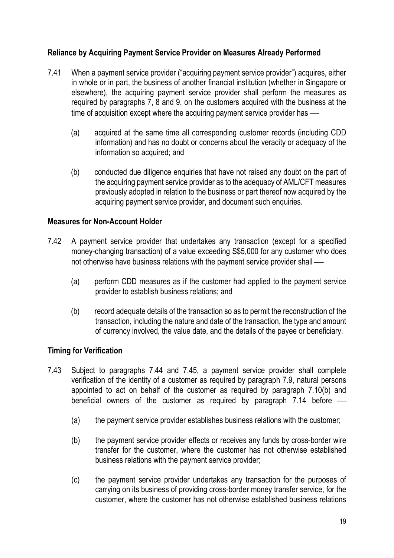# Reliance by Acquiring Payment Service Provider on Measures Already Performed

- 7.41 When a payment service provider ("acquiring payment service provider") acquires, either in whole or in part, the business of another financial institution (whether in Singapore or elsewhere), the acquiring payment service provider shall perform the measures as required by paragraphs 7, 8 and 9, on the customers acquired with the business at the time of acquisition except where the acquiring payment service provider has —
	- (a) acquired at the same time all corresponding customer records (including CDD information) and has no doubt or concerns about the veracity or adequacy of the information so acquired; and
	- (b) conducted due diligence enquiries that have not raised any doubt on the part of the acquiring payment service provider as to the adequacy of AML/CFT measures previously adopted in relation to the business or part thereof now acquired by the acquiring payment service provider, and document such enquiries.

#### Measures for Non-Account Holder

- 7.42 A payment service provider that undertakes any transaction (except for a specified money-changing transaction) of a value exceeding S\$5,000 for any customer who does not otherwise have business relations with the payment service provider shall
	- (a) perform CDD measures as if the customer had applied to the payment service provider to establish business relations; and
	- (b) record adequate details of the transaction so as to permit the reconstruction of the transaction, including the nature and date of the transaction, the type and amount of currency involved, the value date, and the details of the payee or beneficiary.

#### Timing for Verification

- 7.43 Subject to paragraphs 7.44 and 7.45, a payment service provider shall complete verification of the identity of a customer as required by paragraph 7.9, natural persons appointed to act on behalf of the customer as required by paragraph 7.10(b) and beneficial owners of the customer as required by paragraph 7.14 before
	- (a) the payment service provider establishes business relations with the customer;
	- (b) the payment service provider effects or receives any funds by cross-border wire transfer for the customer, where the customer has not otherwise established business relations with the payment service provider;
	- (c) the payment service provider undertakes any transaction for the purposes of carrying on its business of providing cross-border money transfer service, for the customer, where the customer has not otherwise established business relations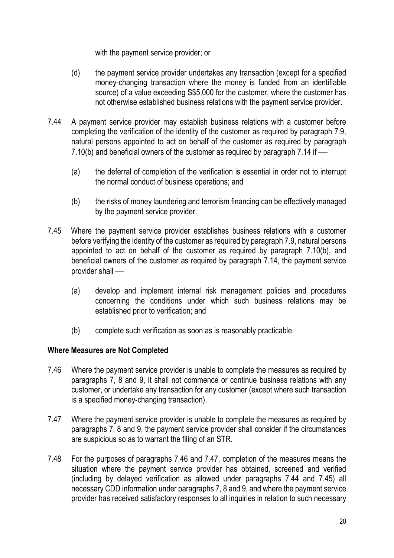with the payment service provider; or

- (d) the payment service provider undertakes any transaction (except for a specified money-changing transaction where the money is funded from an identifiable source) of a value exceeding S\$5,000 for the customer, where the customer has not otherwise established business relations with the payment service provider.
- 7.44 A payment service provider may establish business relations with a customer before completing the verification of the identity of the customer as required by paragraph 7.9, natural persons appointed to act on behalf of the customer as required by paragraph 7.10(b) and beneficial owners of the customer as required by paragraph 7.14 if
	- (a) the deferral of completion of the verification is essential in order not to interrupt the normal conduct of business operations; and
	- (b) the risks of money laundering and terrorism financing can be effectively managed by the payment service provider.
- 7.45 Where the payment service provider establishes business relations with a customer before verifying the identity of the customer as required by paragraph 7.9, natural persons appointed to act on behalf of the customer as required by paragraph 7.10(b), and beneficial owners of the customer as required by paragraph 7.14, the payment service provider shall
	- (a) develop and implement internal risk management policies and procedures concerning the conditions under which such business relations may be established prior to verification; and
	- (b) complete such verification as soon as is reasonably practicable.

#### Where Measures are Not Completed

- 7.46 Where the payment service provider is unable to complete the measures as required by paragraphs 7, 8 and 9, it shall not commence or continue business relations with any customer, or undertake any transaction for any customer (except where such transaction is a specified money-changing transaction).
- 7.47 Where the payment service provider is unable to complete the measures as required by paragraphs 7, 8 and 9, the payment service provider shall consider if the circumstances are suspicious so as to warrant the filing of an STR.
- 7.48 For the purposes of paragraphs 7.46 and 7.47, completion of the measures means the situation where the payment service provider has obtained, screened and verified (including by delayed verification as allowed under paragraphs 7.44 and 7.45) all necessary CDD information under paragraphs 7, 8 and 9, and where the payment service provider has received satisfactory responses to all inquiries in relation to such necessary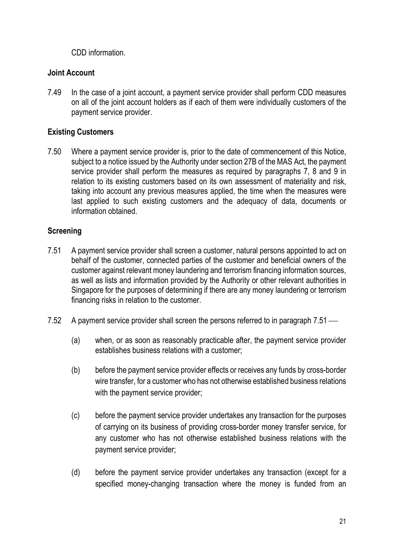CDD information.

# Joint Account

7.49 In the case of a joint account, a payment service provider shall perform CDD measures on all of the joint account holders as if each of them were individually customers of the payment service provider.

# Existing Customers

7.50 Where a payment service provider is, prior to the date of commencement of this Notice, subject to a notice issued by the Authority under section 27B of the MAS Act, the payment service provider shall perform the measures as required by paragraphs 7, 8 and 9 in relation to its existing customers based on its own assessment of materiality and risk, taking into account any previous measures applied, the time when the measures were last applied to such existing customers and the adequacy of data, documents or information obtained.

# **Screening**

- 7.51 A payment service provider shall screen a customer, natural persons appointed to act on behalf of the customer, connected parties of the customer and beneficial owners of the customer against relevant money laundering and terrorism financing information sources, as well as lists and information provided by the Authority or other relevant authorities in Singapore for the purposes of determining if there are any money laundering or terrorism financing risks in relation to the customer.
- 7.52 A payment service provider shall screen the persons referred to in paragraph 7.51
	- (a) when, or as soon as reasonably practicable after, the payment service provider establishes business relations with a customer;
	- (b) before the payment service provider effects or receives any funds by cross-border wire transfer, for a customer who has not otherwise established business relations with the payment service provider;
	- (c) before the payment service provider undertakes any transaction for the purposes of carrying on its business of providing cross-border money transfer service, for any customer who has not otherwise established business relations with the payment service provider;
	- (d) before the payment service provider undertakes any transaction (except for a specified money-changing transaction where the money is funded from an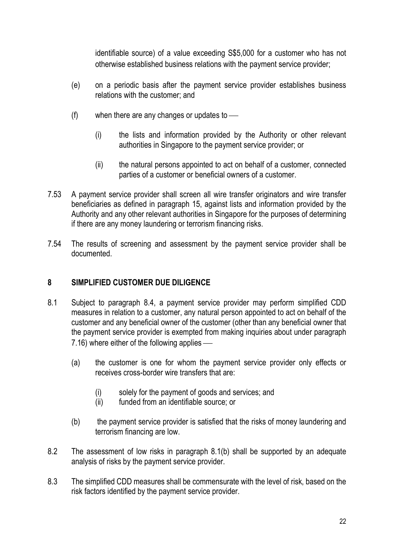identifiable source) of a value exceeding S\$5,000 for a customer who has not otherwise established business relations with the payment service provider;

- (e) on a periodic basis after the payment service provider establishes business relations with the customer; and
- (f) when there are any changes or updates to
	- (i) the lists and information provided by the Authority or other relevant authorities in Singapore to the payment service provider; or
	- (ii) the natural persons appointed to act on behalf of a customer, connected parties of a customer or beneficial owners of a customer.
- 7.53 A payment service provider shall screen all wire transfer originators and wire transfer beneficiaries as defined in paragraph 15, against lists and information provided by the Authority and any other relevant authorities in Singapore for the purposes of determining if there are any money laundering or terrorism financing risks.
- 7.54 The results of screening and assessment by the payment service provider shall be documented.

### 8 SIMPLIFIED CUSTOMER DUE DILIGENCE

- 8.1 Subject to paragraph 8.4, a payment service provider may perform simplified CDD measures in relation to a customer, any natural person appointed to act on behalf of the customer and any beneficial owner of the customer (other than any beneficial owner that the payment service provider is exempted from making inquiries about under paragraph 7.16) where either of the following applies
	- (a) the customer is one for whom the payment service provider only effects or receives cross-border wire transfers that are:
		- (i) solely for the payment of goods and services; and
		- (ii) funded from an identifiable source; or
	- (b) the payment service provider is satisfied that the risks of money laundering and terrorism financing are low.
- 8.2 The assessment of low risks in paragraph 8.1(b) shall be supported by an adequate analysis of risks by the payment service provider.
- 8.3 The simplified CDD measures shall be commensurate with the level of risk, based on the risk factors identified by the payment service provider.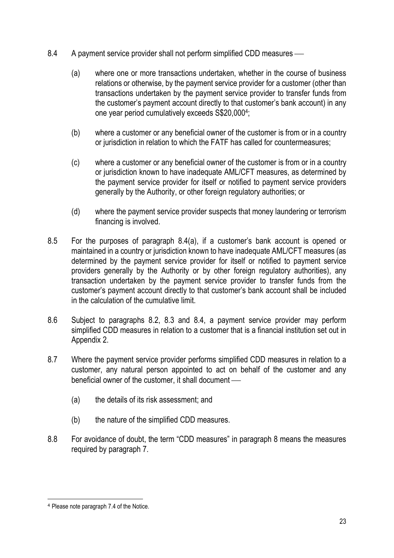- 8.4 A payment service provider shall not perform simplified CDD measures
	- (a) where one or more transactions undertaken, whether in the course of business relations or otherwise, by the payment service provider for a customer (other than transactions undertaken by the payment service provider to transfer funds from the customer's payment account directly to that customer's bank account) in any one year period cumulatively exceeds S\$20,000<sup>4</sup> ;
	- (b) where a customer or any beneficial owner of the customer is from or in a country or jurisdiction in relation to which the FATF has called for countermeasures;
	- (c) where a customer or any beneficial owner of the customer is from or in a country or jurisdiction known to have inadequate AML/CFT measures, as determined by the payment service provider for itself or notified to payment service providers generally by the Authority, or other foreign regulatory authorities; or
	- (d) where the payment service provider suspects that money laundering or terrorism financing is involved.
- 8.5 For the purposes of paragraph 8.4(a), if a customer's bank account is opened or maintained in a country or jurisdiction known to have inadequate AML/CFT measures (as determined by the payment service provider for itself or notified to payment service providers generally by the Authority or by other foreign regulatory authorities), any transaction undertaken by the payment service provider to transfer funds from the customer's payment account directly to that customer's bank account shall be included in the calculation of the cumulative limit.
- 8.6 Subject to paragraphs 8.2, 8.3 and 8.4, a payment service provider may perform simplified CDD measures in relation to a customer that is a financial institution set out in Appendix 2.
- 8.7 Where the payment service provider performs simplified CDD measures in relation to a customer, any natural person appointed to act on behalf of the customer and any beneficial owner of the customer, it shall document
	- (a) the details of its risk assessment; and
	- (b) the nature of the simplified CDD measures.
- 8.8 For avoidance of doubt, the term "CDD measures" in paragraph 8 means the measures required by paragraph 7.

<sup>4</sup> Please note paragraph 7.4 of the Notice.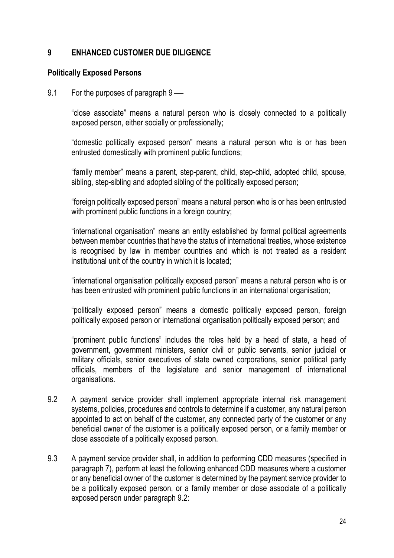# 9 ENHANCED CUSTOMER DUE DILIGENCE

#### Politically Exposed Persons

9.1 For the purposes of paragraph 9

"close associate" means a natural person who is closely connected to a politically exposed person, either socially or professionally;

"domestic politically exposed person" means a natural person who is or has been entrusted domestically with prominent public functions;

"family member" means a parent, step-parent, child, step-child, adopted child, spouse, sibling, step-sibling and adopted sibling of the politically exposed person;

"foreign politically exposed person" means a natural person who is or has been entrusted with prominent public functions in a foreign country;

"international organisation" means an entity established by formal political agreements between member countries that have the status of international treaties, whose existence is recognised by law in member countries and which is not treated as a resident institutional unit of the country in which it is located;

"international organisation politically exposed person" means a natural person who is or has been entrusted with prominent public functions in an international organisation;

"politically exposed person" means a domestic politically exposed person, foreign politically exposed person or international organisation politically exposed person; and

"prominent public functions" includes the roles held by a head of state, a head of government, government ministers, senior civil or public servants, senior judicial or military officials, senior executives of state owned corporations, senior political party officials, members of the legislature and senior management of international organisations.

- 9.2 A payment service provider shall implement appropriate internal risk management systems, policies, procedures and controls to determine if a customer, any natural person appointed to act on behalf of the customer, any connected party of the customer or any beneficial owner of the customer is a politically exposed person, or a family member or close associate of a politically exposed person.
- 9.3 A payment service provider shall, in addition to performing CDD measures (specified in paragraph 7), perform at least the following enhanced CDD measures where a customer or any beneficial owner of the customer is determined by the payment service provider to be a politically exposed person, or a family member or close associate of a politically exposed person under paragraph 9.2: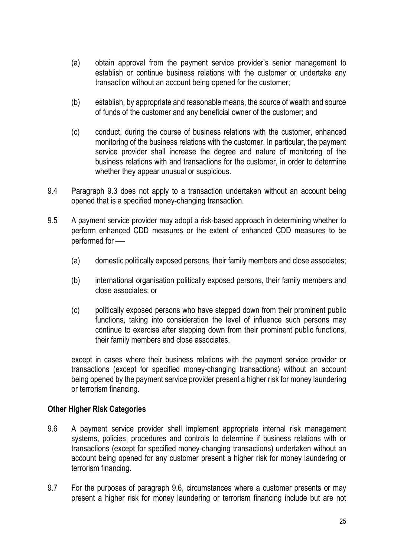- (a) obtain approval from the payment service provider's senior management to establish or continue business relations with the customer or undertake any transaction without an account being opened for the customer;
- (b) establish, by appropriate and reasonable means, the source of wealth and source of funds of the customer and any beneficial owner of the customer; and
- (c) conduct, during the course of business relations with the customer, enhanced monitoring of the business relations with the customer. In particular, the payment service provider shall increase the degree and nature of monitoring of the business relations with and transactions for the customer, in order to determine whether they appear unusual or suspicious.
- 9.4 Paragraph 9.3 does not apply to a transaction undertaken without an account being opened that is a specified money-changing transaction.
- 9.5 A payment service provider may adopt a risk-based approach in determining whether to perform enhanced CDD measures or the extent of enhanced CDD measures to be performed for
	- (a) domestic politically exposed persons, their family members and close associates;
	- (b) international organisation politically exposed persons, their family members and close associates; or
	- (c) politically exposed persons who have stepped down from their prominent public functions, taking into consideration the level of influence such persons may continue to exercise after stepping down from their prominent public functions, their family members and close associates,

except in cases where their business relations with the payment service provider or transactions (except for specified money-changing transactions) without an account being opened by the payment service provider present a higher risk for money laundering or terrorism financing.

#### Other Higher Risk Categories

- 9.6 A payment service provider shall implement appropriate internal risk management systems, policies, procedures and controls to determine if business relations with or transactions (except for specified money-changing transactions) undertaken without an account being opened for any customer present a higher risk for money laundering or terrorism financing.
- 9.7 For the purposes of paragraph 9.6, circumstances where a customer presents or may present a higher risk for money laundering or terrorism financing include but are not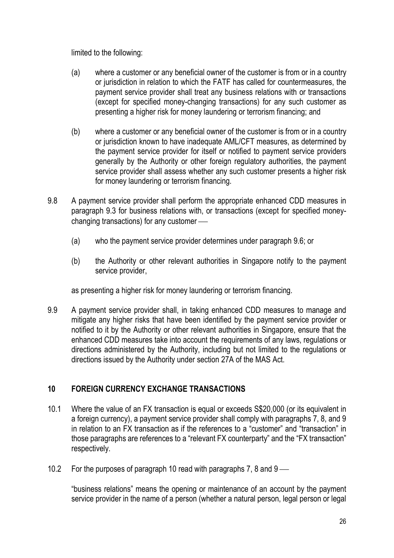limited to the following:

- (a) where a customer or any beneficial owner of the customer is from or in a country or jurisdiction in relation to which the FATF has called for countermeasures, the payment service provider shall treat any business relations with or transactions (except for specified money-changing transactions) for any such customer as presenting a higher risk for money laundering or terrorism financing; and
- (b) where a customer or any beneficial owner of the customer is from or in a country or jurisdiction known to have inadequate AML/CFT measures, as determined by the payment service provider for itself or notified to payment service providers generally by the Authority or other foreign regulatory authorities, the payment service provider shall assess whether any such customer presents a higher risk for money laundering or terrorism financing.
- 9.8 A payment service provider shall perform the appropriate enhanced CDD measures in paragraph 9.3 for business relations with, or transactions (except for specified moneychanging transactions) for any customer
	- (a) who the payment service provider determines under paragraph 9.6; or
	- (b) the Authority or other relevant authorities in Singapore notify to the payment service provider,

as presenting a higher risk for money laundering or terrorism financing.

9.9 A payment service provider shall, in taking enhanced CDD measures to manage and mitigate any higher risks that have been identified by the payment service provider or notified to it by the Authority or other relevant authorities in Singapore, ensure that the enhanced CDD measures take into account the requirements of any laws, regulations or directions administered by the Authority, including but not limited to the regulations or directions issued by the Authority under section 27A of the MAS Act.

# 10 FOREIGN CURRENCY EXCHANGE TRANSACTIONS

- 10.1 Where the value of an FX transaction is equal or exceeds S\$20,000 (or its equivalent in a foreign currency), a payment service provider shall comply with paragraphs 7, 8, and 9 in relation to an FX transaction as if the references to a "customer" and "transaction" in those paragraphs are references to a "relevant FX counterparty" and the "FX transaction" respectively.
- 10.2 For the purposes of paragraph 10 read with paragraphs 7, 8 and 9

"business relations" means the opening or maintenance of an account by the payment service provider in the name of a person (whether a natural person, legal person or legal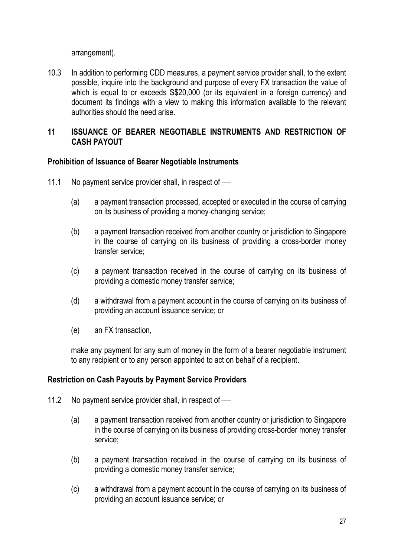arrangement).

10.3 In addition to performing CDD measures, a payment service provider shall, to the extent possible, inquire into the background and purpose of every FX transaction the value of which is equal to or exceeds  $$20,000$  (or its equivalent in a foreign currency) and document its findings with a view to making this information available to the relevant authorities should the need arise.

### 11 ISSUANCE OF BEARER NEGOTIABLE INSTRUMENTS AND RESTRICTION OF CASH PAYOUT

### Prohibition of Issuance of Bearer Negotiable Instruments

- 11.1 No payment service provider shall, in respect of
	- (a) a payment transaction processed, accepted or executed in the course of carrying on its business of providing a money-changing service;
	- (b) a payment transaction received from another country or jurisdiction to Singapore in the course of carrying on its business of providing a cross-border money transfer service;
	- (c) a payment transaction received in the course of carrying on its business of providing a domestic money transfer service;
	- (d) a withdrawal from a payment account in the course of carrying on its business of providing an account issuance service; or
	- (e) an FX transaction,

make any payment for any sum of money in the form of a bearer negotiable instrument to any recipient or to any person appointed to act on behalf of a recipient.

#### Restriction on Cash Payouts by Payment Service Providers

- 11.2 No payment service provider shall, in respect of -
	- (a) a payment transaction received from another country or jurisdiction to Singapore in the course of carrying on its business of providing cross-border money transfer service;
	- (b) a payment transaction received in the course of carrying on its business of providing a domestic money transfer service;
	- (c) a withdrawal from a payment account in the course of carrying on its business of providing an account issuance service; or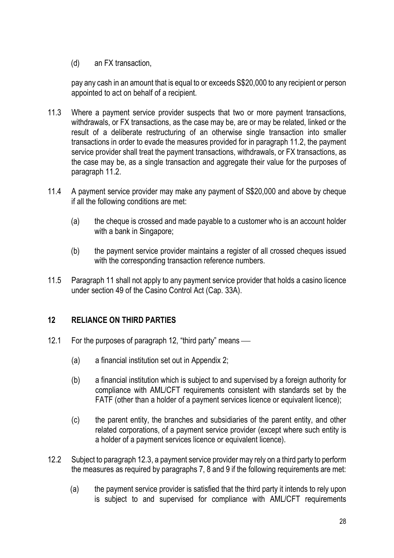(d) an FX transaction,

pay any cash in an amount that is equal to or exceeds S\$20,000 to any recipient or person appointed to act on behalf of a recipient.

- 11.3 Where a payment service provider suspects that two or more payment transactions, withdrawals, or FX transactions, as the case may be, are or may be related, linked or the result of a deliberate restructuring of an otherwise single transaction into smaller transactions in order to evade the measures provided for in paragraph 11.2, the payment service provider shall treat the payment transactions, withdrawals, or FX transactions, as the case may be, as a single transaction and aggregate their value for the purposes of paragraph 11.2.
- 11.4 A payment service provider may make any payment of S\$20,000 and above by cheque if all the following conditions are met:
	- (a) the cheque is crossed and made payable to a customer who is an account holder with a bank in Singapore;
	- (b) the payment service provider maintains a register of all crossed cheques issued with the corresponding transaction reference numbers.
- 11.5 Paragraph 11 shall not apply to any payment service provider that holds a casino licence under section 49 of the Casino Control Act (Cap. 33A).

# 12 RELIANCE ON THIRD PARTIES

- 12.1 For the purposes of paragraph 12, "third party" means
	- (a) a financial institution set out in Appendix 2;
	- (b) a financial institution which is subject to and supervised by a foreign authority for compliance with AML/CFT requirements consistent with standards set by the FATF (other than a holder of a payment services licence or equivalent licence);
	- (c) the parent entity, the branches and subsidiaries of the parent entity, and other related corporations, of a payment service provider (except where such entity is a holder of a payment services licence or equivalent licence).
- 12.2 Subject to paragraph 12.3, a payment service provider may rely on a third party to perform the measures as required by paragraphs 7, 8 and 9 if the following requirements are met:
	- (a) the payment service provider is satisfied that the third party it intends to rely upon is subject to and supervised for compliance with AML/CFT requirements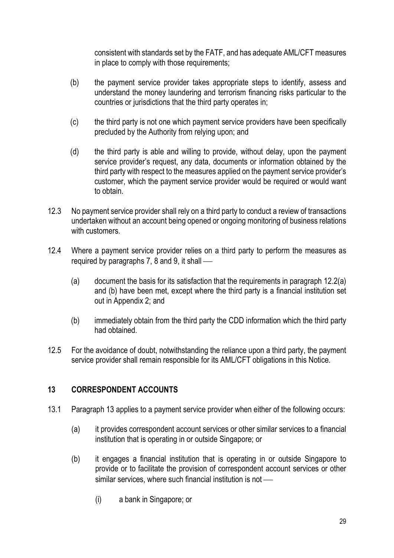consistent with standards set by the FATF, and has adequate AML/CFT measures in place to comply with those requirements;

- (b) the payment service provider takes appropriate steps to identify, assess and understand the money laundering and terrorism financing risks particular to the countries or jurisdictions that the third party operates in;
- (c) the third party is not one which payment service providers have been specifically precluded by the Authority from relying upon; and
- (d) the third party is able and willing to provide, without delay, upon the payment service provider's request, any data, documents or information obtained by the third party with respect to the measures applied on the payment service provider's customer, which the payment service provider would be required or would want to obtain.
- 12.3 No payment service provider shall rely on a third party to conduct a review of transactions undertaken without an account being opened or ongoing monitoring of business relations with customers
- 12.4 Where a payment service provider relies on a third party to perform the measures as required by paragraphs 7, 8 and 9, it shall
	- (a) document the basis for its satisfaction that the requirements in paragraph 12.2(a) and (b) have been met, except where the third party is a financial institution set out in Appendix 2; and
	- (b) immediately obtain from the third party the CDD information which the third party had obtained.
- 12.5 For the avoidance of doubt, notwithstanding the reliance upon a third party, the payment service provider shall remain responsible for its AML/CFT obligations in this Notice.

# 13 CORRESPONDENT ACCOUNTS

- 13.1 Paragraph 13 applies to a payment service provider when either of the following occurs:
	- (a) it provides correspondent account services or other similar services to a financial institution that is operating in or outside Singapore; or
	- (b) it engages a financial institution that is operating in or outside Singapore to provide or to facilitate the provision of correspondent account services or other similar services, where such financial institution is not -
		- (i) a bank in Singapore; or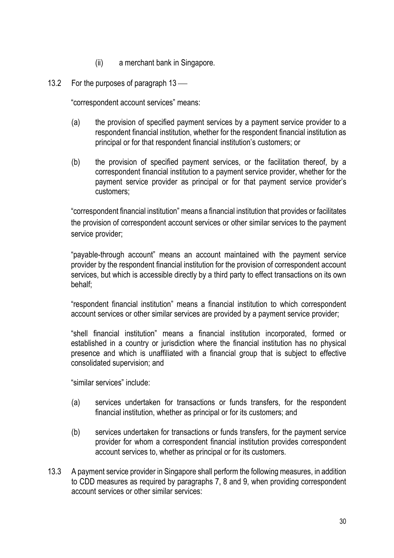- (ii) a merchant bank in Singapore.
- 13.2 For the purposes of paragraph 13 —

"correspondent account services" means:

- (a) the provision of specified payment services by a payment service provider to a respondent financial institution, whether for the respondent financial institution as principal or for that respondent financial institution's customers; or
- (b) the provision of specified payment services, or the facilitation thereof, by a correspondent financial institution to a payment service provider, whether for the payment service provider as principal or for that payment service provider's customers;

"correspondent financial institution" means a financial institution that provides or facilitates the provision of correspondent account services or other similar services to the payment service provider;

"payable-through account" means an account maintained with the payment service provider by the respondent financial institution for the provision of correspondent account services, but which is accessible directly by a third party to effect transactions on its own behalf;

"respondent financial institution" means a financial institution to which correspondent account services or other similar services are provided by a payment service provider;

"shell financial institution" means a financial institution incorporated, formed or established in a country or jurisdiction where the financial institution has no physical presence and which is unaffiliated with a financial group that is subject to effective consolidated supervision; and

"similar services" include:

- (a) services undertaken for transactions or funds transfers, for the respondent financial institution, whether as principal or for its customers; and
- (b) services undertaken for transactions or funds transfers, for the payment service provider for whom a correspondent financial institution provides correspondent account services to, whether as principal or for its customers.
- 13.3 A payment service provider in Singapore shall perform the following measures, in addition to CDD measures as required by paragraphs 7, 8 and 9, when providing correspondent account services or other similar services: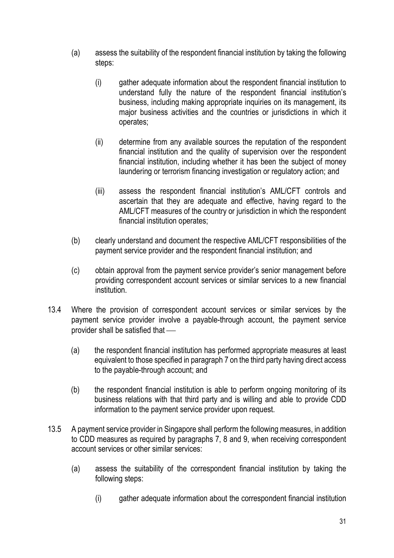- (a) assess the suitability of the respondent financial institution by taking the following steps:
	- (i) gather adequate information about the respondent financial institution to understand fully the nature of the respondent financial institution's business, including making appropriate inquiries on its management, its major business activities and the countries or jurisdictions in which it operates;
	- (ii) determine from any available sources the reputation of the respondent financial institution and the quality of supervision over the respondent financial institution, including whether it has been the subject of money laundering or terrorism financing investigation or regulatory action; and
	- (iii) assess the respondent financial institution's AML/CFT controls and ascertain that they are adequate and effective, having regard to the AML/CFT measures of the country or jurisdiction in which the respondent financial institution operates;
- (b) clearly understand and document the respective AML/CFT responsibilities of the payment service provider and the respondent financial institution; and
- (c) obtain approval from the payment service provider's senior management before providing correspondent account services or similar services to a new financial institution.
- 13.4 Where the provision of correspondent account services or similar services by the payment service provider involve a payable-through account, the payment service provider shall be satisfied that
	- (a) the respondent financial institution has performed appropriate measures at least equivalent to those specified in paragraph 7 on the third party having direct access to the payable-through account; and
	- (b) the respondent financial institution is able to perform ongoing monitoring of its business relations with that third party and is willing and able to provide CDD information to the payment service provider upon request.
- 13.5 A payment service provider in Singapore shall perform the following measures, in addition to CDD measures as required by paragraphs 7, 8 and 9, when receiving correspondent account services or other similar services:
	- (a) assess the suitability of the correspondent financial institution by taking the following steps:
		- (i) gather adequate information about the correspondent financial institution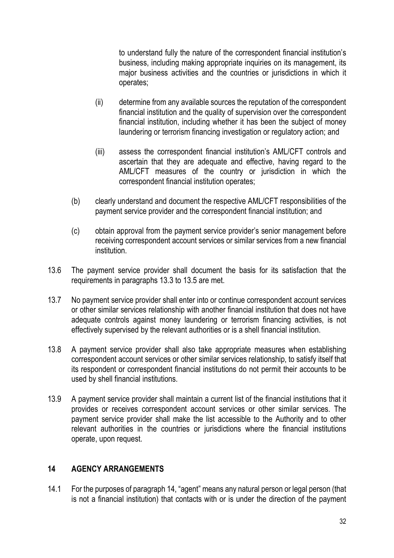to understand fully the nature of the correspondent financial institution's business, including making appropriate inquiries on its management, its major business activities and the countries or jurisdictions in which it operates;

- (ii) determine from any available sources the reputation of the correspondent financial institution and the quality of supervision over the correspondent financial institution, including whether it has been the subject of money laundering or terrorism financing investigation or regulatory action; and
- (iii) assess the correspondent financial institution's AML/CFT controls and ascertain that they are adequate and effective, having regard to the AML/CFT measures of the country or jurisdiction in which the correspondent financial institution operates;
- (b) clearly understand and document the respective AML/CFT responsibilities of the payment service provider and the correspondent financial institution; and
- (c) obtain approval from the payment service provider's senior management before receiving correspondent account services or similar services from a new financial institution.
- 13.6 The payment service provider shall document the basis for its satisfaction that the requirements in paragraphs 13.3 to 13.5 are met.
- 13.7 No payment service provider shall enter into or continue correspondent account services or other similar services relationship with another financial institution that does not have adequate controls against money laundering or terrorism financing activities, is not effectively supervised by the relevant authorities or is a shell financial institution.
- 13.8 A payment service provider shall also take appropriate measures when establishing correspondent account services or other similar services relationship, to satisfy itself that its respondent or correspondent financial institutions do not permit their accounts to be used by shell financial institutions.
- 13.9 A payment service provider shall maintain a current list of the financial institutions that it provides or receives correspondent account services or other similar services. The payment service provider shall make the list accessible to the Authority and to other relevant authorities in the countries or jurisdictions where the financial institutions operate, upon request.

# 14 AGENCY ARRANGEMENTS

14.1 For the purposes of paragraph 14, "agent" means any natural person or legal person (that is not a financial institution) that contacts with or is under the direction of the payment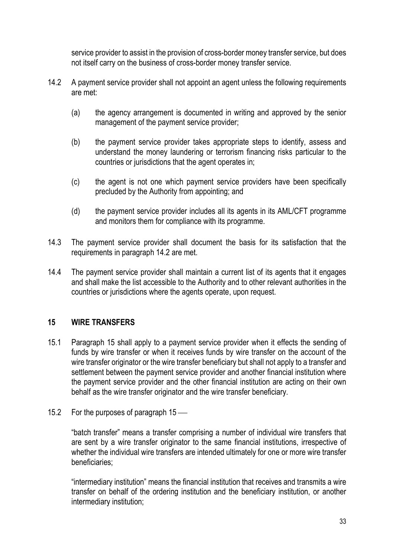service provider to assist in the provision of cross-border money transfer service, but does not itself carry on the business of cross-border money transfer service.

- 14.2 A payment service provider shall not appoint an agent unless the following requirements are met:
	- (a) the agency arrangement is documented in writing and approved by the senior management of the payment service provider;
	- (b) the payment service provider takes appropriate steps to identify, assess and understand the money laundering or terrorism financing risks particular to the countries or jurisdictions that the agent operates in;
	- (c) the agent is not one which payment service providers have been specifically precluded by the Authority from appointing; and
	- (d) the payment service provider includes all its agents in its AML/CFT programme and monitors them for compliance with its programme.
- 14.3 The payment service provider shall document the basis for its satisfaction that the requirements in paragraph 14.2 are met.
- 14.4 The payment service provider shall maintain a current list of its agents that it engages and shall make the list accessible to the Authority and to other relevant authorities in the countries or jurisdictions where the agents operate, upon request.

# 15 WIRE TRANSFERS

- 15.1 Paragraph 15 shall apply to a payment service provider when it effects the sending of funds by wire transfer or when it receives funds by wire transfer on the account of the wire transfer originator or the wire transfer beneficiary but shall not apply to a transfer and settlement between the payment service provider and another financial institution where the payment service provider and the other financial institution are acting on their own behalf as the wire transfer originator and the wire transfer beneficiary.
- 15.2 For the purposes of paragraph 15 —

"batch transfer" means a transfer comprising a number of individual wire transfers that are sent by a wire transfer originator to the same financial institutions, irrespective of whether the individual wire transfers are intended ultimately for one or more wire transfer beneficiaries;

"intermediary institution" means the financial institution that receives and transmits a wire transfer on behalf of the ordering institution and the beneficiary institution, or another intermediary institution;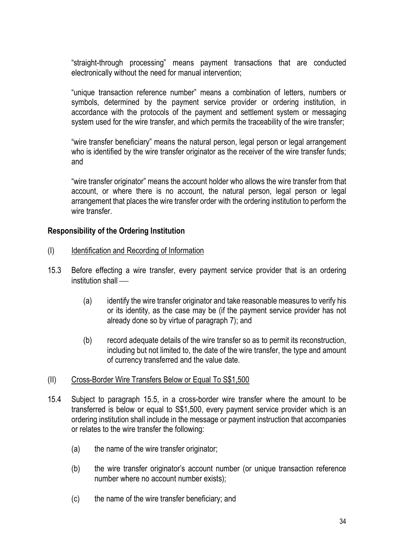"straight-through processing" means payment transactions that are conducted electronically without the need for manual intervention;

"unique transaction reference number" means a combination of letters, numbers or symbols, determined by the payment service provider or ordering institution, in accordance with the protocols of the payment and settlement system or messaging system used for the wire transfer, and which permits the traceability of the wire transfer;

"wire transfer beneficiary" means the natural person, legal person or legal arrangement who is identified by the wire transfer originator as the receiver of the wire transfer funds; and

"wire transfer originator" means the account holder who allows the wire transfer from that account, or where there is no account, the natural person, legal person or legal arrangement that places the wire transfer order with the ordering institution to perform the wire transfer.

### Responsibility of the Ordering Institution

- (I) Identification and Recording of Information
- 15.3 Before effecting a wire transfer, every payment service provider that is an ordering institution shall —
	- (a) identify the wire transfer originator and take reasonable measures to verify his or its identity, as the case may be (if the payment service provider has not already done so by virtue of paragraph 7); and
	- (b) record adequate details of the wire transfer so as to permit its reconstruction, including but not limited to, the date of the wire transfer, the type and amount of currency transferred and the value date.

#### (II) Cross-Border Wire Transfers Below or Equal To S\$1,500

- 15.4 Subject to paragraph 15.5, in a cross-border wire transfer where the amount to be transferred is below or equal to S\$1,500, every payment service provider which is an ordering institution shall include in the message or payment instruction that accompanies or relates to the wire transfer the following:
	- (a) the name of the wire transfer originator;
	- (b) the wire transfer originator's account number (or unique transaction reference number where no account number exists);
	- (c) the name of the wire transfer beneficiary; and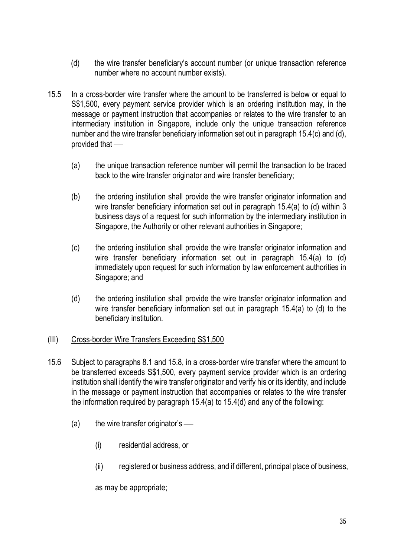- (d) the wire transfer beneficiary's account number (or unique transaction reference number where no account number exists).
- 15.5 In a cross-border wire transfer where the amount to be transferred is below or equal to S\$1,500, every payment service provider which is an ordering institution may, in the message or payment instruction that accompanies or relates to the wire transfer to an intermediary institution in Singapore, include only the unique transaction reference number and the wire transfer beneficiary information set out in paragraph 15.4(c) and (d), provided that
	- (a) the unique transaction reference number will permit the transaction to be traced back to the wire transfer originator and wire transfer beneficiary;
	- (b) the ordering institution shall provide the wire transfer originator information and wire transfer beneficiary information set out in paragraph 15.4(a) to (d) within 3 business days of a request for such information by the intermediary institution in Singapore, the Authority or other relevant authorities in Singapore;
	- (c) the ordering institution shall provide the wire transfer originator information and wire transfer beneficiary information set out in paragraph 15.4(a) to (d) immediately upon request for such information by law enforcement authorities in Singapore; and
	- (d) the ordering institution shall provide the wire transfer originator information and wire transfer beneficiary information set out in paragraph 15.4(a) to (d) to the beneficiary institution.

# (III) Cross-border Wire Transfers Exceeding S\$1,500

- 15.6 Subject to paragraphs 8.1 and 15.8, in a cross-border wire transfer where the amount to be transferred exceeds S\$1,500, every payment service provider which is an ordering institution shall identify the wire transfer originator and verify his or its identity, and include in the message or payment instruction that accompanies or relates to the wire transfer the information required by paragraph 15.4(a) to 15.4(d) and any of the following:
	- $(a)$  the wire transfer originator's
		- (i) residential address, or
		- (ii) registered or business address, and if different, principal place of business,

as may be appropriate;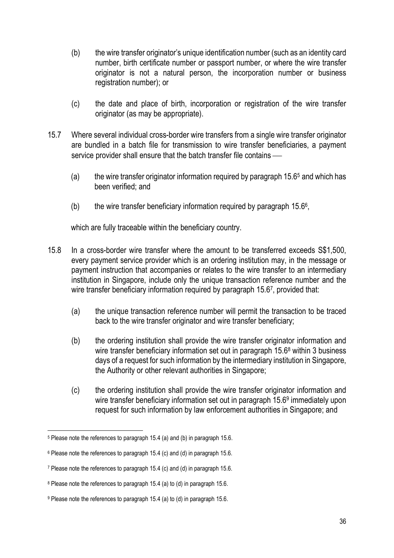- (b) the wire transfer originator's unique identification number (such as an identity card number, birth certificate number or passport number, or where the wire transfer originator is not a natural person, the incorporation number or business registration number); or
- (c) the date and place of birth, incorporation or registration of the wire transfer originator (as may be appropriate).
- 15.7 Where several individual cross-border wire transfers from a single wire transfer originator are bundled in a batch file for transmission to wire transfer beneficiaries, a payment service provider shall ensure that the batch transfer file contains -
	- (a) the wire transfer originator information required by paragraph  $15.6<sup>5</sup>$  and which has been verified; and
	- (b) the wire transfer beneficiary information required by paragraph  $15.6<sup>6</sup>$ ,

which are fully traceable within the beneficiary country.

- 15.8 In a cross-border wire transfer where the amount to be transferred exceeds S\$1,500, every payment service provider which is an ordering institution may, in the message or payment instruction that accompanies or relates to the wire transfer to an intermediary institution in Singapore, include only the unique transaction reference number and the wire transfer beneficiary information required by paragraph 15.67, provided that:
	- (a) the unique transaction reference number will permit the transaction to be traced back to the wire transfer originator and wire transfer beneficiary;
	- (b) the ordering institution shall provide the wire transfer originator information and wire transfer beneficiary information set out in paragraph 15.6<sup>8</sup> within 3 business days of a request for such information by the intermediary institution in Singapore, the Authority or other relevant authorities in Singapore;
	- (c) the ordering institution shall provide the wire transfer originator information and wire transfer beneficiary information set out in paragraph 15.6<sup>9</sup> immediately upon request for such information by law enforcement authorities in Singapore; and

<sup>5</sup> Please note the references to paragraph 15.4 (a) and (b) in paragraph 15.6.

<sup>6</sup> Please note the references to paragraph 15.4 (c) and (d) in paragraph 15.6.

<sup>7</sup> Please note the references to paragraph 15.4 (c) and (d) in paragraph 15.6.

<sup>8</sup> Please note the references to paragraph 15.4 (a) to (d) in paragraph 15.6.

<sup>9</sup> Please note the references to paragraph 15.4 (a) to (d) in paragraph 15.6.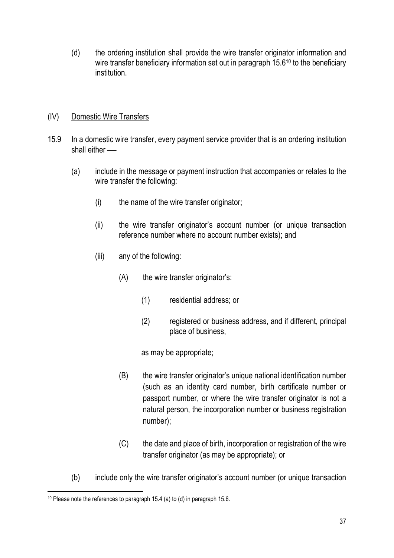(d) the ordering institution shall provide the wire transfer originator information and wire transfer beneficiary information set out in paragraph 15.6<sup>10</sup> to the beneficiary institution.

# (IV) Domestic Wire Transfers

- 15.9 In a domestic wire transfer, every payment service provider that is an ordering institution shall either
	- (a) include in the message or payment instruction that accompanies or relates to the wire transfer the following:
		- (i) the name of the wire transfer originator;
		- (ii) the wire transfer originator's account number (or unique transaction reference number where no account number exists); and
		- (iii) any of the following:
			- (A) the wire transfer originator's:
				- (1) residential address; or
				- (2) registered or business address, and if different, principal place of business,

as may be appropriate;

- (B) the wire transfer originator's unique national identification number (such as an identity card number, birth certificate number or passport number, or where the wire transfer originator is not a natural person, the incorporation number or business registration number);
- (C) the date and place of birth, incorporation or registration of the wire transfer originator (as may be appropriate); or
- (b) include only the wire transfer originator's account number (or unique transaction

<sup>10</sup> Please note the references to paragraph 15.4 (a) to (d) in paragraph 15.6.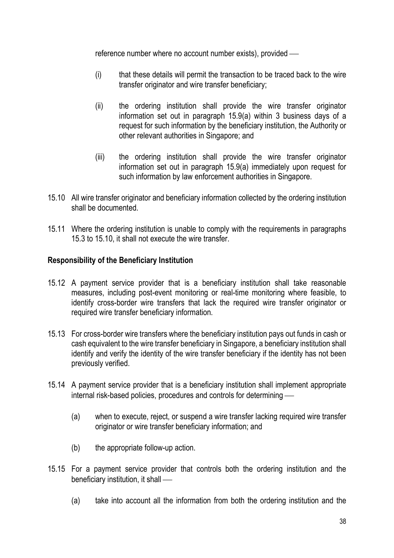reference number where no account number exists), provided

- (i) that these details will permit the transaction to be traced back to the wire transfer originator and wire transfer beneficiary;
- (ii) the ordering institution shall provide the wire transfer originator information set out in paragraph 15.9(a) within 3 business days of a request for such information by the beneficiary institution, the Authority or other relevant authorities in Singapore; and
- (iii) the ordering institution shall provide the wire transfer originator information set out in paragraph 15.9(a) immediately upon request for such information by law enforcement authorities in Singapore.
- 15.10 All wire transfer originator and beneficiary information collected by the ordering institution shall be documented.
- 15.11 Where the ordering institution is unable to comply with the requirements in paragraphs 15.3 to 15.10, it shall not execute the wire transfer.

### Responsibility of the Beneficiary Institution

- 15.12 A payment service provider that is a beneficiary institution shall take reasonable measures, including post-event monitoring or real-time monitoring where feasible, to identify cross-border wire transfers that lack the required wire transfer originator or required wire transfer beneficiary information.
- 15.13 For cross-border wire transfers where the beneficiary institution pays out funds in cash or cash equivalent to the wire transfer beneficiary in Singapore, a beneficiary institution shall identify and verify the identity of the wire transfer beneficiary if the identity has not been previously verified.
- 15.14 A payment service provider that is a beneficiary institution shall implement appropriate internal risk-based policies, procedures and controls for determining
	- (a) when to execute, reject, or suspend a wire transfer lacking required wire transfer originator or wire transfer beneficiary information; and
	- (b) the appropriate follow-up action.
- 15.15 For a payment service provider that controls both the ordering institution and the beneficiary institution, it shall
	- (a) take into account all the information from both the ordering institution and the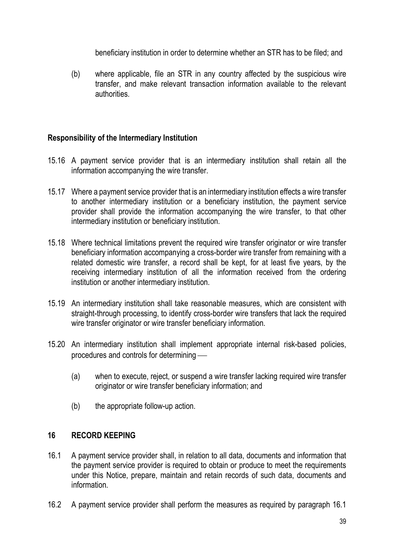beneficiary institution in order to determine whether an STR has to be filed; and

(b) where applicable, file an STR in any country affected by the suspicious wire transfer, and make relevant transaction information available to the relevant authorities.

# Responsibility of the Intermediary Institution

- 15.16 A payment service provider that is an intermediary institution shall retain all the information accompanying the wire transfer.
- 15.17 Where a payment service provider that is an intermediary institution effects a wire transfer to another intermediary institution or a beneficiary institution, the payment service provider shall provide the information accompanying the wire transfer, to that other intermediary institution or beneficiary institution.
- 15.18 Where technical limitations prevent the required wire transfer originator or wire transfer beneficiary information accompanying a cross-border wire transfer from remaining with a related domestic wire transfer, a record shall be kept, for at least five years, by the receiving intermediary institution of all the information received from the ordering institution or another intermediary institution.
- 15.19 An intermediary institution shall take reasonable measures, which are consistent with straight-through processing, to identify cross-border wire transfers that lack the required wire transfer originator or wire transfer beneficiary information.
- 15.20 An intermediary institution shall implement appropriate internal risk-based policies, procedures and controls for determining
	- (a) when to execute, reject, or suspend a wire transfer lacking required wire transfer originator or wire transfer beneficiary information; and
	- (b) the appropriate follow-up action.

#### 16 RECORD KEEPING

- 16.1 A payment service provider shall, in relation to all data, documents and information that the payment service provider is required to obtain or produce to meet the requirements under this Notice, prepare, maintain and retain records of such data, documents and information.
- 16.2 A payment service provider shall perform the measures as required by paragraph 16.1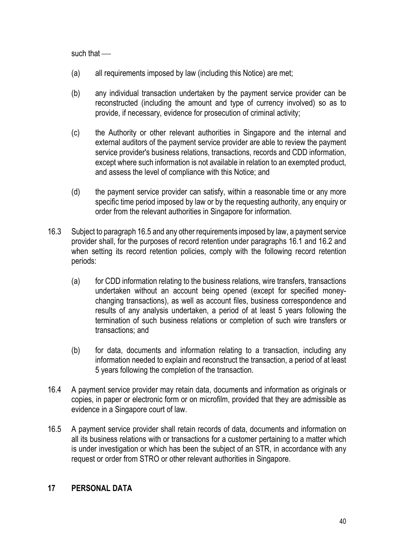such that —

- (a) all requirements imposed by law (including this Notice) are met;
- (b) any individual transaction undertaken by the payment service provider can be reconstructed (including the amount and type of currency involved) so as to provide, if necessary, evidence for prosecution of criminal activity;
- (c) the Authority or other relevant authorities in Singapore and the internal and external auditors of the payment service provider are able to review the payment service provider's business relations, transactions, records and CDD information, except where such information is not available in relation to an exempted product, and assess the level of compliance with this Notice; and
- (d) the payment service provider can satisfy, within a reasonable time or any more specific time period imposed by law or by the requesting authority, any enquiry or order from the relevant authorities in Singapore for information.
- 16.3 Subject to paragraph 16.5 and any other requirements imposed by law, a payment service provider shall, for the purposes of record retention under paragraphs 16.1 and 16.2 and when setting its record retention policies, comply with the following record retention periods:
	- (a) for CDD information relating to the business relations, wire transfers, transactions undertaken without an account being opened (except for specified moneychanging transactions), as well as account files, business correspondence and results of any analysis undertaken, a period of at least 5 years following the termination of such business relations or completion of such wire transfers or transactions; and
	- (b) for data, documents and information relating to a transaction, including any information needed to explain and reconstruct the transaction, a period of at least 5 years following the completion of the transaction.
- 16.4 A payment service provider may retain data, documents and information as originals or copies, in paper or electronic form or on microfilm, provided that they are admissible as evidence in a Singapore court of law.
- 16.5 A payment service provider shall retain records of data, documents and information on all its business relations with or transactions for a customer pertaining to a matter which is under investigation or which has been the subject of an STR, in accordance with any request or order from STRO or other relevant authorities in Singapore.

# 17 PERSONAL DATA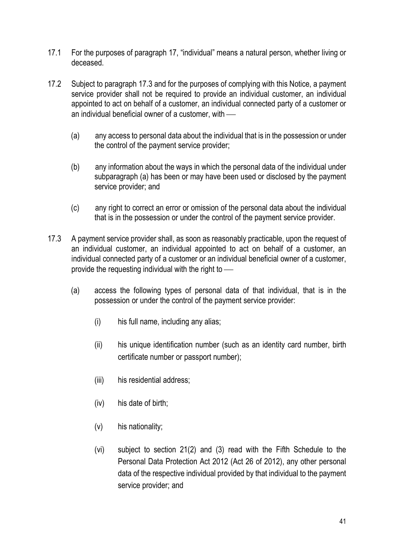- 17.1 For the purposes of paragraph 17, "individual" means a natural person, whether living or deceased.
- 17.2 Subject to paragraph 17.3 and for the purposes of complying with this Notice, a payment service provider shall not be required to provide an individual customer, an individual appointed to act on behalf of a customer, an individual connected party of a customer or an individual beneficial owner of a customer, with
	- (a) any access to personal data about the individual that is in the possession or under the control of the payment service provider;
	- (b) any information about the ways in which the personal data of the individual under subparagraph (a) has been or may have been used or disclosed by the payment service provider; and
	- (c) any right to correct an error or omission of the personal data about the individual that is in the possession or under the control of the payment service provider.
- 17.3 A payment service provider shall, as soon as reasonably practicable, upon the request of an individual customer, an individual appointed to act on behalf of a customer, an individual connected party of a customer or an individual beneficial owner of a customer, provide the requesting individual with the right to
	- (a) access the following types of personal data of that individual, that is in the possession or under the control of the payment service provider:
		- (i) his full name, including any alias;
		- (ii) his unique identification number (such as an identity card number, birth certificate number or passport number);
		- (iii) his residential address;
		- (iv) his date of birth;
		- (v) his nationality;
		- (vi) subject to section 21(2) and (3) read with the Fifth Schedule to the Personal Data Protection Act 2012 (Act 26 of 2012), any other personal data of the respective individual provided by that individual to the payment service provider; and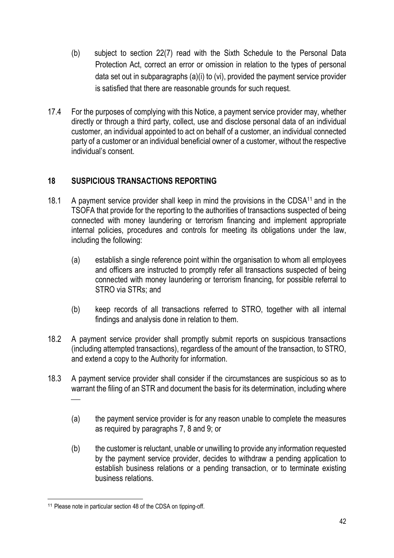- (b) subject to section 22(7) read with the Sixth Schedule to the Personal Data Protection Act, correct an error or omission in relation to the types of personal data set out in subparagraphs (a)(i) to (vi), provided the payment service provider is satisfied that there are reasonable grounds for such request.
- 17.4 For the purposes of complying with this Notice, a payment service provider may, whether directly or through a third party, collect, use and disclose personal data of an individual customer, an individual appointed to act on behalf of a customer, an individual connected party of a customer or an individual beneficial owner of a customer, without the respective individual's consent.

# 18 SUSPICIOUS TRANSACTIONS REPORTING

- 18.1 A payment service provider shall keep in mind the provisions in the CDSA<sup>11</sup> and in the TSOFA that provide for the reporting to the authorities of transactions suspected of being connected with money laundering or terrorism financing and implement appropriate internal policies, procedures and controls for meeting its obligations under the law, including the following:
	- (a) establish a single reference point within the organisation to whom all employees and officers are instructed to promptly refer all transactions suspected of being connected with money laundering or terrorism financing, for possible referral to STRO via STRs; and
	- (b) keep records of all transactions referred to STRO, together with all internal findings and analysis done in relation to them.
- 18.2 A payment service provider shall promptly submit reports on suspicious transactions (including attempted transactions), regardless of the amount of the transaction, to STRO, and extend a copy to the Authority for information.
- 18.3 A payment service provider shall consider if the circumstances are suspicious so as to warrant the filing of an STR and document the basis for its determination, including where  $\frac{1}{\sqrt{2\pi}}$ 
	- (a) the payment service provider is for any reason unable to complete the measures as required by paragraphs 7, 8 and 9; or
	- (b) the customer is reluctant, unable or unwilling to provide any information requested by the payment service provider, decides to withdraw a pending application to establish business relations or a pending transaction, or to terminate existing business relations.

<sup>&</sup>lt;sup>11</sup> Please note in particular section 48 of the CDSA on tipping-off.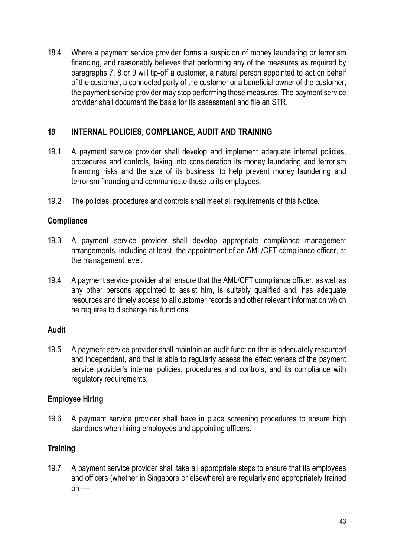18.4 Where a payment service provider forms a suspicion of money laundering or terrorism financing, and reasonably believes that performing any of the measures as required by paragraphs 7, 8 or 9 will tip-off a customer, a natural person appointed to act on behalf of the customer, a connected party of the customer or a beneficial owner of the customer, the payment service provider may stop performing those measures. The payment service provider shall document the basis for its assessment and file an STR.

# 19 INTERNAL POLICIES, COMPLIANCE, AUDIT AND TRAINING

- 19.1 A payment service provider shall develop and implement adequate internal policies, procedures and controls, taking into consideration its money laundering and terrorism financing risks and the size of its business, to help prevent money laundering and terrorism financing and communicate these to its employees.
- 19.2 The policies, procedures and controls shall meet all requirements of this Notice.

# **Compliance**

- 19.3 A payment service provider shall develop appropriate compliance management arrangements, including at least, the appointment of an AML/CFT compliance officer, at the management level.
- 19.4 A payment service provider shall ensure that the AML/CFT compliance officer, as well as any other persons appointed to assist him, is suitably qualified and, has adequate resources and timely access to all customer records and other relevant information which he requires to discharge his functions.

# Audit

19.5 A payment service provider shall maintain an audit function that is adequately resourced and independent, and that is able to regularly assess the effectiveness of the payment service provider's internal policies, procedures and controls, and its compliance with regulatory requirements.

# Employee Hiring

19.6 A payment service provider shall have in place screening procedures to ensure high standards when hiring employees and appointing officers.

# **Training**

19.7 A payment service provider shall take all appropriate steps to ensure that its employees and officers (whether in Singapore or elsewhere) are regularly and appropriately trained  $on$  —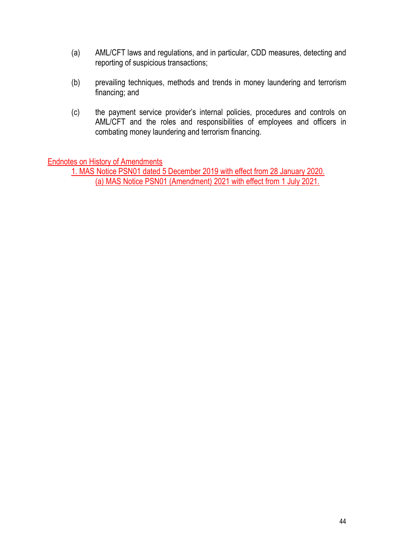- (a) AML/CFT laws and regulations, and in particular, CDD measures, detecting and reporting of suspicious transactions;
- (b) prevailing techniques, methods and trends in money laundering and terrorism financing; and
- (c) the payment service provider's internal policies, procedures and controls on AML/CFT and the roles and responsibilities of employees and officers in combating money laundering and terrorism financing.

Endnotes on History of Amendments

 1. MAS Notice PSN01 dated 5 December 2019 with effect from 28 January 2020. (a) MAS Notice PSN01 (Amendment) 2021 with effect from 1 July 2021.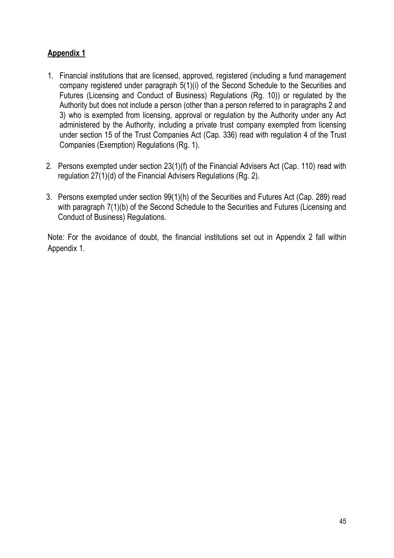# Appendix 1

- 1. Financial institutions that are licensed, approved, registered (including a fund management company registered under paragraph 5(1)(i) of the Second Schedule to the Securities and Futures (Licensing and Conduct of Business) Regulations (Rg. 10)) or regulated by the Authority but does not include a person (other than a person referred to in paragraphs 2 and 3) who is exempted from licensing, approval or regulation by the Authority under any Act administered by the Authority, including a private trust company exempted from licensing under section 15 of the Trust Companies Act (Cap. 336) read with regulation 4 of the Trust Companies (Exemption) Regulations (Rg. 1).
- 2. Persons exempted under section 23(1)(f) of the Financial Advisers Act (Cap. 110) read with regulation 27(1)(d) of the Financial Advisers Regulations (Rg. 2).
- 3. Persons exempted under section 99(1)(h) of the Securities and Futures Act (Cap. 289) read with paragraph  $7(1)(b)$  of the Second Schedule to the Securities and Futures (Licensing and Conduct of Business) Regulations.

Note: For the avoidance of doubt, the financial institutions set out in Appendix 2 fall within Appendix 1.